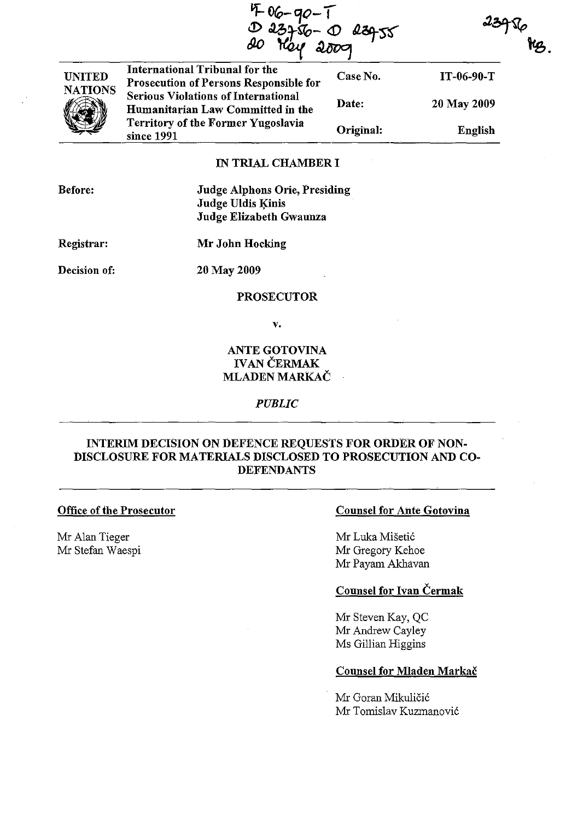$406 - 90 -$ 

 $239%$ 



International Tribunal for the Prosecution of Persons Responsible for Serious Violations of International Humanitarian Law Committed in the Territory of the Former Yugoslavia since 1991 Case No. IT-06-90-T Date: 20 May 2009 Original: English

# IN TRIAL CHAMBER I

Before:

Judge Alphons Orie, Presiding Judge Uldis Kinis Judge Elizabeth Gwaunza

Registrar:

Mr John Hocking

Decision of:

20 May 2009

### PROSECUTOR

v.

# ANTE GOTOVINA IVAN ČERMAK MLADEN MARKAČ

### *PUBLIC*

# INTERIM DECISION ON DEFENCE REQUESTS FOR ORDER OF NON-DISCLOSURE FOR MATERIALS DISCLOSED TO PROSECUTION AND CO-DEFENDANTS

#### Office of the Prosecutor

Mr Alan Tieger Mr Stefan Waespi

## Counsel for Ante Gotovina

Mr Luka Mišetić Mr Gregory Kehoe Mr Payam Akhavan

# Counsel for Ivan Čermak

Mr Steven Kay, QC Mr Andrew Cayley Ms Gillian Higgins

### Counsel for Mladen Markač

Mr Goran Mikuličić Mr Tomislav Kuzmanović